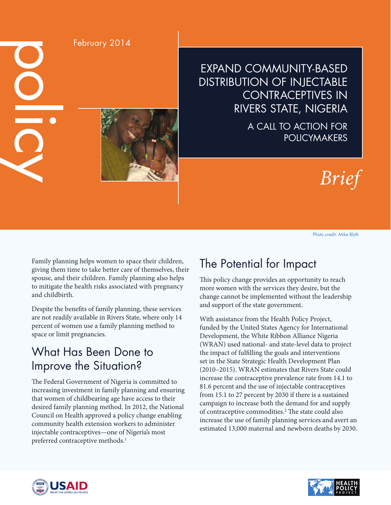February 2014

EXPAND COMMUNITY-BASED DISTRIBUTION OF INJECTABLE CONTRACEPTIVES IN RIVERS STATE, NIGERIA

> A CALL TO ACTION FOR **POLICYMAKERS**



Photo credit: Mike Blyth

Family planning helps women to space their children, giving them time to take better care of themselves, their spouse, and their children. Family planning also helps to mitigate the health risks associated with pregnancy and childbirth.

Despite the benefits of family planning, these services are not readily available in Rivers State, where only 14 percent of women use a family planning method to space or limit pregnancies.

# What Has Been Done to Improve the Situation?

The Federal Government of Nigeria is committed to increasing investment in family planning and ensuring that women of childbearing age have access to their desired family planning method. In 2012, the National Council on Health approved a policy change enabling community health extension workers to administer injectable contraceptives—one of Nigeria's most preferred contraceptive methods.<sup>1</sup>

## The Potential for Impact

This policy change provides an opportunity to reach more women with the services they desire, but the change cannot be implemented without the leadership and support of the state government.

With assistance from the Health Policy Project, funded by the United States Agency for International Development, the White Ribbon Alliance Nigeria (WRAN) used national- and state-level data to project the impact of fulfilling the goals and interventions set in the State Strategic Health Development Plan (2010–2015). WRAN estimates that Rivers State could increase the contraceptive prevalence rate from 14.1 to 81.6 percent and the use of injectable contraceptives from 15.1 to 27 percent by 2030 if there is a sustained campaign to increase both the demand for and supply of contraceptive commodities.2 The state could also increase the use of family planning services and avert an estimated 13,000 maternal and newborn deaths by 2030.